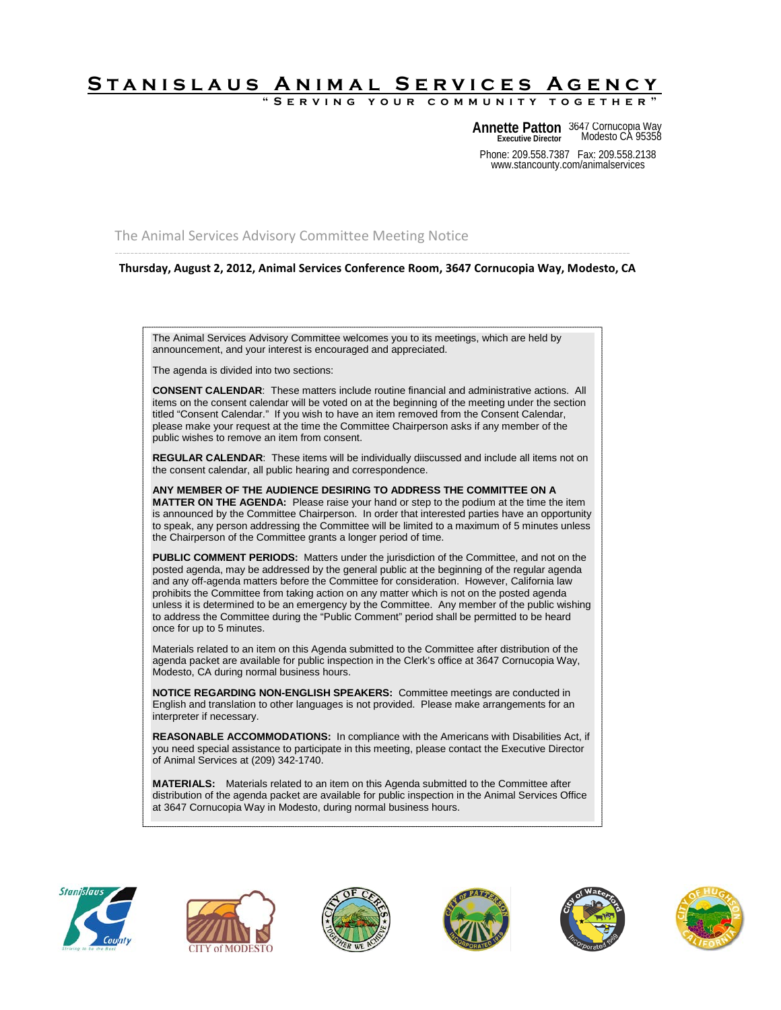## **Stanislaus Animal Services Agency**

SERVING YOUR COMMUNITY

Phone: 209.558.7387 Fax: 209.558.2138 **Annette Patton** 3647 Cornucopia Way Modesto CA 95358 **Executive Director**

www.stancounty.com/animalservices

The Animal Services Advisory Committee Meeting Notice

------------------------------------------------------------------------------------------------------------------------------------ **Thursday, August 2, 2012, Animal Services Conference Room, 3647 Cornucopia Way, Modesto, CA**

The Animal Services Advisory Committee welcomes you to its meetings, which are held by announcement, and your interest is encouraged and appreciated.

The agenda is divided into two sections:

**CONSENT CALENDAR**: These matters include routine financial and administrative actions. All items on the consent calendar will be voted on at the beginning of the meeting under the section titled "Consent Calendar." If you wish to have an item removed from the Consent Calendar, please make your request at the time the Committee Chairperson asks if any member of the public wishes to remove an item from consent.

**REGULAR CALENDAR**: These items will be individually diiscussed and include all items not on the consent calendar, all public hearing and correspondence.

**ANY MEMBER OF THE AUDIENCE DESIRING TO ADDRESS THE COMMITTEE ON A MATTER ON THE AGENDA:** Please raise your hand or step to the podium at the time the item is announced by the Committee Chairperson. In order that interested parties have an opportunity to speak, any person addressing the Committee will be limited to a maximum of 5 minutes unless the Chairperson of the Committee grants a longer period of time.

**PUBLIC COMMENT PERIODS:** Matters under the jurisdiction of the Committee, and not on the posted agenda, may be addressed by the general public at the beginning of the regular agenda and any off-agenda matters before the Committee for consideration. However, California law prohibits the Committee from taking action on any matter which is not on the posted agenda unless it is determined to be an emergency by the Committee. Any member of the public wishing to address the Committee during the "Public Comment" period shall be permitted to be heard once for up to 5 minutes.

Materials related to an item on this Agenda submitted to the Committee after distribution of the agenda packet are available for public inspection in the Clerk's office at 3647 Cornucopia Way, Modesto, CA during normal business hours.

**NOTICE REGARDING NON-ENGLISH SPEAKERS:** Committee meetings are conducted in English and translation to other languages is not provided. Please make arrangements for an interpreter if necessary.

**REASONABLE ACCOMMODATIONS:** In compliance with the Americans with Disabilities Act, if you need special assistance to participate in this meeting, please contact the Executive Director of Animal Services at (209) 342-1740.

**MATERIALS:** Materials related to an item on this Agenda submitted to the Committee after distribution of the agenda packet are available for public inspection in the Animal Services Office at 3647 Cornucopia Way in Modesto, during normal business hours.